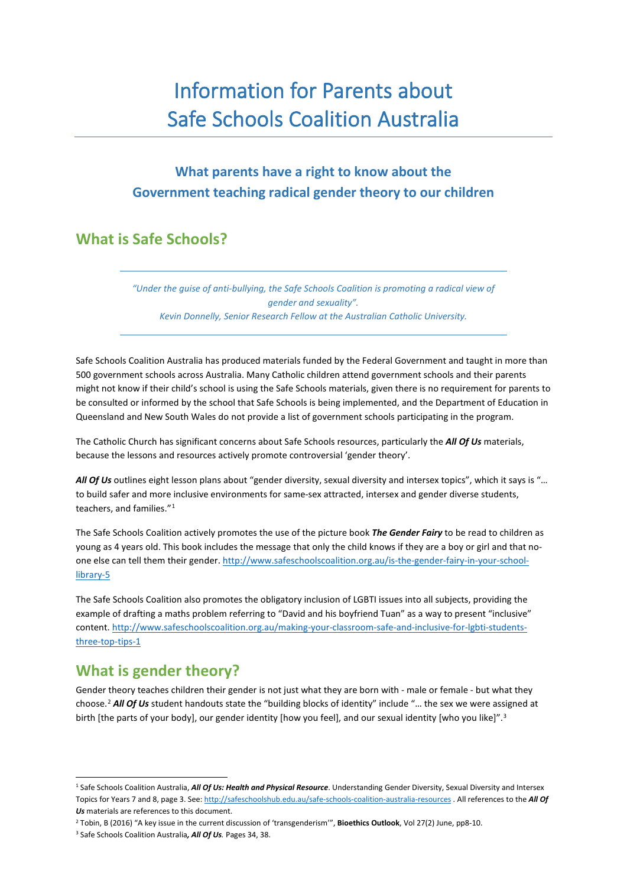# Information for Parents about Safe Schools Coalition Australia

# **What parents have a right to know about the Government teaching radical gender theory to our children**

## **What is Safe Schools?**

*"Under the guise of anti-bullying, the Safe Schools Coalition is promoting a radical view of gender and sexuality". Kevin Donnelly, Senior Research Fellow at the Australian Catholic University.*

Safe Schools Coalition Australia has produced materials funded by the Federal Government and taught in more than 500 government schools across Australia. Many Catholic children attend government schools and their parents might not know if their child's school is using the Safe Schools materials, given there is no requirement for parents to be consulted or informed by the school that Safe Schools is being implemented, and the Department of Education in Queensland and New South Wales do not provide a list of government schools participating in the program.

The Catholic Church has significant concerns about Safe Schools resources, particularly the *All Of Us* materials, because the lessons and resources actively promote controversial 'gender theory'.

*All Of Us* outlines eight lesson plans about "gender diversity, sexual diversity and intersex topics", which it says is "… to build safer and more inclusive environments for same-sex attracted, intersex and gender diverse students, teachers, and families."[1](#page-0-0)

The Safe Schools Coalition actively promotes the use of the picture book *The Gender Fairy* to be read to children as young as 4 years old. This book includes the message that only the child knows if they are a boy or girl and that noone else can tell them their gender[. http://www.safeschoolscoalition.org.au/is-the-gender-fairy-in-your-school](http://www.safeschoolscoalition.org.au/is-the-gender-fairy-in-your-school-library-5)[library-5](http://www.safeschoolscoalition.org.au/is-the-gender-fairy-in-your-school-library-5)

The Safe Schools Coalition also promotes the obligatory inclusion of LGBTI issues into all subjects, providing the example of drafting a maths problem referring to "David and his boyfriend Tuan" as a way to present "inclusive" content. [http://www.safeschoolscoalition.org.au/making-your-classroom-safe-and-inclusive-for-lgbti-students](http://www.safeschoolscoalition.org.au/making-your-classroom-safe-and-inclusive-for-lgbti-students-three-top-tips-1)[three-top-tips-1](http://www.safeschoolscoalition.org.au/making-your-classroom-safe-and-inclusive-for-lgbti-students-three-top-tips-1)

#### **What is gender theory?**

Gender theory teaches children their gender is not just what they are born with - male or female - but what they choose. [2](#page-0-1) *All Of Us* student handouts state the "building blocks of identity" include "… the sex we were assigned at birth [the parts of your body], our gender identity [how you feel], and our sexual identity [who you like]". [3](#page-0-2)

<span id="page-0-0"></span> <sup>1</sup> Safe Schools Coalition Australia, *All Of Us: Health and Physical Resource*. Understanding Gender Diversity, Sexual Diversity and Intersex Topics for Years 7 and 8, page 3. See[: http://safeschoolshub.edu.au/safe-schools-coalition-australia-resources](http://safeschoolshub.edu.au/safe-schools-coalition-australia-resources) . All references to the *All Of Us* materials are references to this document.

<span id="page-0-1"></span><sup>2</sup> Tobin, B (2016) "A key issue in the current discussion of 'transgenderism'", **Bioethics Outlook**, Vol 27(2) June, pp8-10.

<span id="page-0-2"></span><sup>3</sup> Safe Schools Coalition Australia*, All Of Us.* Pages 34, 38.